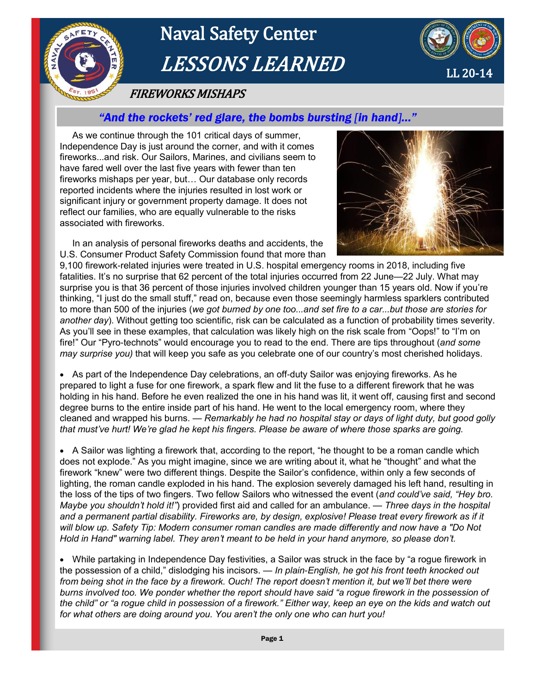

# Naval Safety Center LESSONS LEARNED



## FIREWORKS MISHAPS

## *"And the rockets' red glare, the bombs bursting [in hand]…"*

As we continue through the 101 critical days of summer, Independence Day is just around the corner, and with it comes fireworks...and risk. Our Sailors, Marines, and civilians seem to have fared well over the last five years with fewer than ten fireworks mishaps per year, but… Our database only records reported incidents where the injuries resulted in lost work or significant injury or government property damage. It does not reflect our families, who are equally vulnerable to the risks associated with fireworks.

In an analysis of personal fireworks deaths and accidents, the U.S. Consumer Product Safety Commission found that more than



9,100 firework-related injuries were treated in U.S. hospital emergency rooms in 2018, including five fatalities. It's no surprise that 62 percent of the total injuries occurred from 22 June—22 July. What may surprise you is that 36 percent of those injuries involved children younger than 15 years old. Now if you're thinking, "I just do the small stuff," read on, because even those seemingly harmless sparklers contributed to more than 500 of the injuries (*we got burned by one too...and set fire to a car...but those are stories for another day*). Without getting too scientific, risk can be calculated as a function of probability times severity. As you'll see in these examples, that calculation was likely high on the risk scale from "Oops!" to "I'm on fire!" Our "Pyro-technots" would encourage you to read to the end. There are tips throughout (*and some may surprise you)* that will keep you safe as you celebrate one of our country's most cherished holidays.

 As part of the Independence Day celebrations, an off-duty Sailor was enjoying fireworks. As he prepared to light a fuse for one firework, a spark flew and lit the fuse to a different firework that he was holding in his hand. Before he even realized the one in his hand was lit, it went off, causing first and second degree burns to the entire inside part of his hand. He went to the local emergency room, where they cleaned and wrapped his burns. — *Remarkably he had no hospital stay or days of light duty, but good golly that must've hurt! We're glad he kept his fingers. Please be aware of where those sparks are going.* 

 A Sailor was lighting a firework that, according to the report, "he thought to be a roman candle which does not explode." As you might imagine, since we are writing about it, what he "thought" and what the firework "knew" were two different things. Despite the Sailor's confidence, within only a few seconds of lighting, the roman candle exploded in his hand. The explosion severely damaged his left hand, resulting in the loss of the tips of two fingers. Two fellow Sailors who witnessed the event (*and could've said, "Hey bro. Maybe you shouldn't hold it!"*) provided first aid and called for an ambulance. — *Three days in the hospital and a permanent partial disability. Fireworks are, by design, explosive! Please treat every firework as if it will blow up. Safety Tip: Modern consumer roman candles are made differently and now have a "Do Not Hold in Hand" warning label. They aren't meant to be held in your hand anymore, so please don't.* 

 While partaking in Independence Day festivities, a Sailor was struck in the face by "a rogue firework in the possession of a child," dislodging his incisors. — *In plain-English, he got his front teeth knocked out from being shot in the face by a firework. Ouch! The report doesn't mention it, but we'll bet there were burns involved too. We ponder whether the report should have said "a rogue firework in the possession of the child" or "a rogue child in possession of a firework." Either way, keep an eye on the kids and watch out for what others are doing around you. You aren't the only one who can hurt you!*